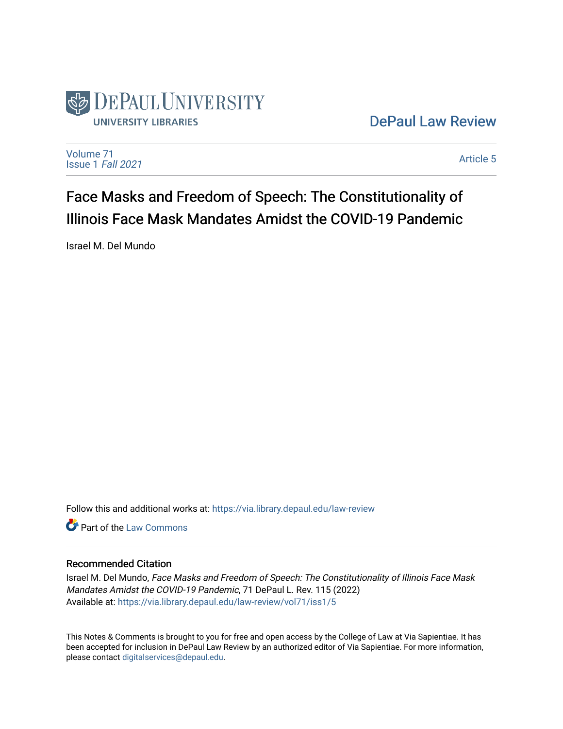

[DePaul Law Review](https://via.library.depaul.edu/law-review) 

[Volume 71](https://via.library.depaul.edu/law-review/vol71) [Issue 1](https://via.library.depaul.edu/law-review/vol71/iss1) Fall 2021

[Article 5](https://via.library.depaul.edu/law-review/vol71/iss1/5) 

# Face Masks and Freedom of Speech: The Constitutionality of Illinois Face Mask Mandates Amidst the COVID-19 Pandemic

Israel M. Del Mundo

Follow this and additional works at: [https://via.library.depaul.edu/law-review](https://via.library.depaul.edu/law-review?utm_source=via.library.depaul.edu%2Flaw-review%2Fvol71%2Fiss1%2F5&utm_medium=PDF&utm_campaign=PDFCoverPages) 

**C** Part of the [Law Commons](http://network.bepress.com/hgg/discipline/578?utm_source=via.library.depaul.edu%2Flaw-review%2Fvol71%2Fiss1%2F5&utm_medium=PDF&utm_campaign=PDFCoverPages)

# Recommended Citation

Israel M. Del Mundo, Face Masks and Freedom of Speech: The Constitutionality of Illinois Face Mask Mandates Amidst the COVID-19 Pandemic, 71 DePaul L. Rev. 115 (2022) Available at: [https://via.library.depaul.edu/law-review/vol71/iss1/5](https://via.library.depaul.edu/law-review/vol71/iss1/5?utm_source=via.library.depaul.edu%2Flaw-review%2Fvol71%2Fiss1%2F5&utm_medium=PDF&utm_campaign=PDFCoverPages) 

This Notes & Comments is brought to you for free and open access by the College of Law at Via Sapientiae. It has been accepted for inclusion in DePaul Law Review by an authorized editor of Via Sapientiae. For more information, please contact [digitalservices@depaul.edu.](mailto:digitalservices@depaul.edu)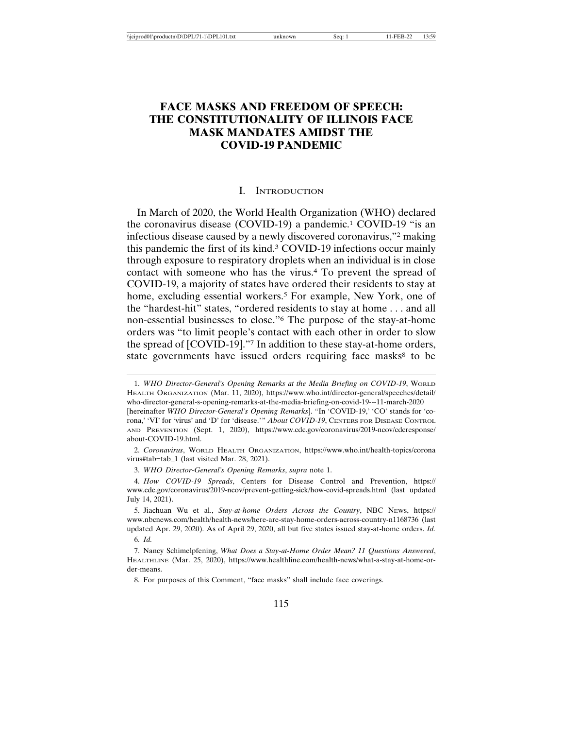# **FACE MASKS AND FREEDOM OF SPEECH: THE CONSTITUTIONALITY OF ILLINOIS FACE MASK MANDATES AMIDST THE COVID-19 PANDEMIC**

#### I. INTRODUCTION

In March of 2020, the World Health Organization (WHO) declared the coronavirus disease (COVID-19) a pandemic.1 COVID-19 "is an infectious disease caused by a newly discovered coronavirus,"2 making this pandemic the first of its kind.3 COVID-19 infections occur mainly through exposure to respiratory droplets when an individual is in close contact with someone who has the virus.4 To prevent the spread of COVID-19, a majority of states have ordered their residents to stay at home, excluding essential workers.<sup>5</sup> For example, New York, one of the "hardest-hit" states, "ordered residents to stay at home . . . and all non-essential businesses to close."6 The purpose of the stay-at-home orders was "to limit people's contact with each other in order to slow the spread of [COVID-19]."7 In addition to these stay-at-home orders, state governments have issued orders requiring face masks<sup>8</sup> to be

2. *Coronavirus*, WORLD HEALTH ORGANIZATION, https://www.who.int/health-topics/corona virus#tab=tab\_1 (last visited Mar. 28, 2021).

3. *WHO Director-General's Opening Remarks*, *supra* note 1.

4. *How COVID-19 Spreads*, Centers for Disease Control and Prevention, https:// www.cdc.gov/coronavirus/2019-ncov/prevent-getting-sick/how-covid-spreads.html (last updated July 14, 2021).

5. Jiachuan Wu et al., *Stay-at-home Orders Across the Country*, NBC NEWS, https:// www.nbcnews.com/health/health-news/here-are-stay-home-orders-across-country-n1168736 (last updated Apr. 29, 2020). As of April 29, 2020, all but five states issued stay-at-home orders. *Id.* 6. *Id.*

7. Nancy Schimelpfening, *What Does a Stay-at-Home Order Mean? 11 Questions Answered*, HEALTHLINE (Mar. 25, 2020), https://www.healthline.com/health-news/what-a-stay-at-home-order-means.

8. For purposes of this Comment, "face masks" shall include face coverings.

<sup>1.</sup> *WHO Director-General's Opening Remarks at the Media Briefing on COVID-19*, WORLD HEALTH ORGANIZATION (Mar. 11, 2020), https://www.who.int/director-general/speeches/detail/ who-director-general-s-opening-remarks-at-the-media-briefing-on-covid-19---11-march-2020 [hereinafter *WHO Director-General's Opening Remarks*]. "In 'COVID-19,' 'CO' stands for 'corona,' 'VI' for 'virus' and 'D' for 'disease.'" *About COVID-19*, CENTERS FOR DISEASE CONTROL AND PREVENTION (Sept. 1, 2020), https://www.cdc.gov/coronavirus/2019-ncov/cdcresponse/ about-COVID-19.html.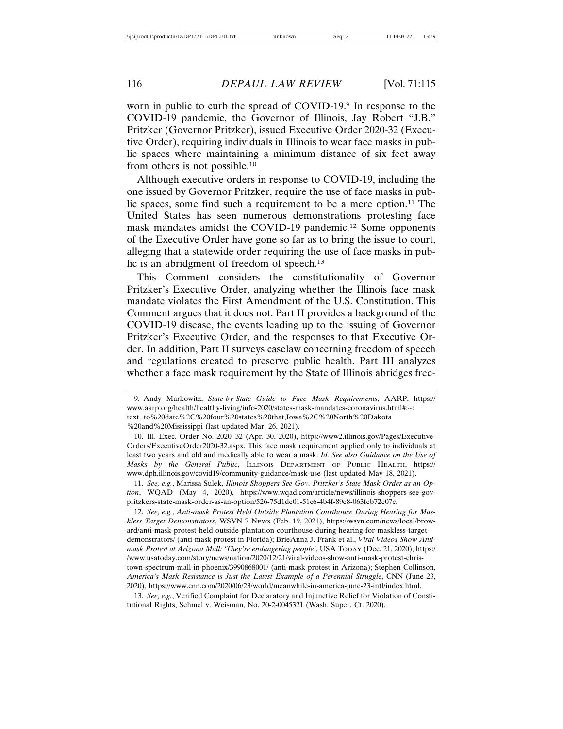worn in public to curb the spread of COVID-19.9 In response to the COVID-19 pandemic, the Governor of Illinois, Jay Robert "J.B." Pritzker (Governor Pritzker), issued Executive Order 2020-32 (Executive Order), requiring individuals in Illinois to wear face masks in public spaces where maintaining a minimum distance of six feet away from others is not possible.10

Although executive orders in response to COVID-19, including the one issued by Governor Pritzker, require the use of face masks in public spaces, some find such a requirement to be a mere option.11 The United States has seen numerous demonstrations protesting face mask mandates amidst the COVID-19 pandemic.<sup>12</sup> Some opponents of the Executive Order have gone so far as to bring the issue to court, alleging that a statewide order requiring the use of face masks in public is an abridgment of freedom of speech.<sup>13</sup>

This Comment considers the constitutionality of Governor Pritzker's Executive Order, analyzing whether the Illinois face mask mandate violates the First Amendment of the U.S. Constitution. This Comment argues that it does not. Part II provides a background of the COVID-19 disease, the events leading up to the issuing of Governor Pritzker's Executive Order, and the responses to that Executive Order. In addition, Part II surveys caselaw concerning freedom of speech and regulations created to preserve public health. Part III analyzes whether a face mask requirement by the State of Illinois abridges free-

10. Ill. Exec. Order No. 2020–32 (Apr. 30, 2020), https://www2.illinois.gov/Pages/Executive-Orders/ExecutiveOrder2020-32.aspx. This face mask requirement applied only to individuals at least two years and old and medically able to wear a mask. *Id. See also Guidance on the Use of Masks by the General Public*, ILLINOIS DEPARTMENT OF PUBLIC HEALTH, https:// www.dph.illinois.gov/covid19/community-guidance/mask-use (last updated May 18, 2021).

11. *See, e.g.*, Marissa Sulek, *Illinois Shoppers See Gov. Pritzker's State Mask Order as an Option*, WQAD (May 4, 2020), https://www.wqad.com/article/news/illinois-shoppers-see-govpritzkers-state-mask-order-as-an-option/526-75d1de01-51c6-4b4f-89e8-063feb72e07c.

12. *See, e.g.*, *Anti-mask Protest Held Outside Plantation Courthouse During Hearing for Maskless Target Demonstrators*, WSVN 7 NEWS (Feb. 19, 2021), https://wsvn.com/news/local/broward/anti-mask-protest-held-outside-plantation-courthouse-during-hearing-for-maskless-targetdemonstrators/ (anti-mask protest in Florida); BrieAnna J. Frank et al., *Viral Videos Show Antimask Protest at Arizona Mall: 'They're endangering people'*, USA TODAY (Dec. 21, 2020), https:/ /www.usatoday.com/story/news/nation/2020/12/21/viral-videos-show-anti-mask-protest-christown-spectrum-mall-in-phoenix/3990868001/ (anti-mask protest in Arizona); Stephen Collinson, *America's Mask Resistance is Just the Latest Example of a Perennial Struggle*, CNN (June 23, 2020), https://www.cnn.com/2020/06/23/world/meanwhile-in-america-june-23-intl/index.html.

13. *See, e.g.*, Verified Complaint for Declaratory and Injunctive Relief for Violation of Constitutional Rights, Sehmel v. Weisman, No. 20-2-0045321 (Wash. Super. Ct. 2020).

<sup>9.</sup> Andy Markowitz, *State-by-State Guide to Face Mask Requirements*, AARP, https:// www.aarp.org/health/healthy-living/info-2020/states-mask-mandates-coronavirus.html#:~: text=to%20date%2C%20four%20states%20that,Iowa%2C%20North%20Dakota %20and%20Mississippi (last updated Mar. 26, 2021).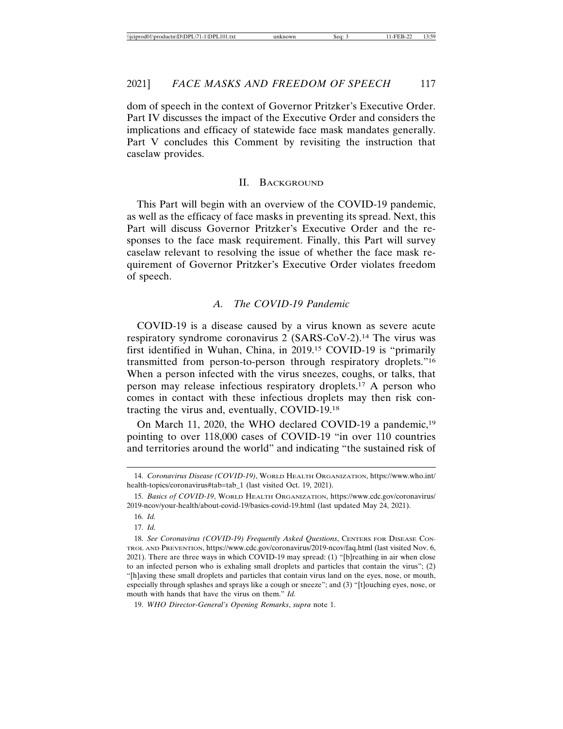dom of speech in the context of Governor Pritzker's Executive Order. Part IV discusses the impact of the Executive Order and considers the implications and efficacy of statewide face mask mandates generally. Part V concludes this Comment by revisiting the instruction that caselaw provides.

#### II. BACKGROUND

This Part will begin with an overview of the COVID-19 pandemic, as well as the efficacy of face masks in preventing its spread. Next, this Part will discuss Governor Pritzker's Executive Order and the responses to the face mask requirement. Finally, this Part will survey caselaw relevant to resolving the issue of whether the face mask requirement of Governor Pritzker's Executive Order violates freedom of speech.

#### *A. The COVID-19 Pandemic*

COVID-19 is a disease caused by a virus known as severe acute respiratory syndrome coronavirus 2 (SARS-CoV-2).14 The virus was first identified in Wuhan, China, in 2019.15 COVID-19 is "primarily transmitted from person-to-person through respiratory droplets."16 When a person infected with the virus sneezes, coughs, or talks, that person may release infectious respiratory droplets.17 A person who comes in contact with these infectious droplets may then risk contracting the virus and, eventually, COVID-19.18

On March 11, 2020, the WHO declared COVID-19 a pandemic,<sup>19</sup> pointing to over 118,000 cases of COVID-19 "in over 110 countries and territories around the world" and indicating "the sustained risk of

17. *Id.*

<sup>14.</sup> *Coronavirus Disease (COVID-19)*, WORLD HEALTH ORGANIZATION, https://www.who.int/ health-topics/coronavirus#tab=tab\_1 (last visited Oct. 19, 2021).

<sup>15.</sup> *Basics of COVID-19*, WORLD HEALTH ORGANIZATION, https://www.cdc.gov/coronavirus/ 2019-ncov/your-health/about-covid-19/basics-covid-19.html (last updated May 24, 2021).

<sup>16.</sup> *Id.*

<sup>18.</sup> *See Coronavirus (COVID-19) Frequently Asked Questions*, CENTERS FOR DISEASE CON-TROL AND PREVENTION, https://www.cdc.gov/coronavirus/2019-ncov/faq.html (last visited Nov. 6, 2021). There are three ways in which COVID-19 may spread: (1) "[b]reathing in air when close to an infected person who is exhaling small droplets and particles that contain the virus"; (2) "[h]aving these small droplets and particles that contain virus land on the eyes, nose, or mouth, especially through splashes and sprays like a cough or sneeze"; and (3) "[t]ouching eyes, nose, or mouth with hands that have the virus on them." *Id.*

<sup>19.</sup> *WHO Director-General's Opening Remarks*, *supra* note 1.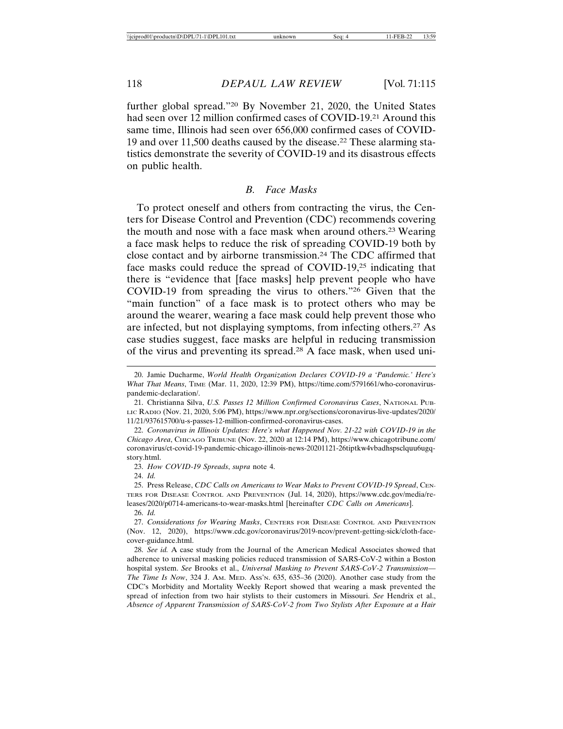further global spread."20 By November 21, 2020, the United States had seen over 12 million confirmed cases of COVID-19.21 Around this same time, Illinois had seen over 656,000 confirmed cases of COVID-19 and over 11,500 deaths caused by the disease.22 These alarming statistics demonstrate the severity of COVID-19 and its disastrous effects on public health.

## *B. Face Masks*

To protect oneself and others from contracting the virus, the Centers for Disease Control and Prevention (CDC) recommends covering the mouth and nose with a face mask when around others.23 Wearing a face mask helps to reduce the risk of spreading COVID-19 both by close contact and by airborne transmission.24 The CDC affirmed that face masks could reduce the spread of COVID-19,25 indicating that there is "evidence that [face masks] help prevent people who have COVID-19 from spreading the virus to others."26 Given that the "main function" of a face mask is to protect others who may be around the wearer, wearing a face mask could help prevent those who are infected, but not displaying symptoms, from infecting others.27 As case studies suggest, face masks are helpful in reducing transmission of the virus and preventing its spread.28 A face mask, when used uni-

23. *How COVID-19 Spreads*, *supra* note 4.

24. *Id.*

<sup>20.</sup> Jamie Ducharme, *World Health Organization Declares COVID-19 a 'Pandemic.' Here's What That Means*, TIME (Mar. 11, 2020, 12:39 PM), https://time.com/5791661/who-coronaviruspandemic-declaration/.

<sup>21.</sup> Christianna Silva, *U.S. Passes 12 Million Confirmed Coronavirus Cases*, NATIONAL PUB-LIC RADIO (Nov. 21, 2020, 5:06 PM), https://www.npr.org/sections/coronavirus-live-updates/2020/ 11/21/937615700/u-s-passes-12-million-confirmed-coronavirus-cases.

<sup>22.</sup> *Coronavirus in Illinois Updates: Here's what Happened Nov. 21-22 with COVID-19 in the Chicago Area*, CHICAGO TRIBUNE (Nov. 22, 2020 at 12:14 PM), https://www.chicagotribune.com/ coronavirus/ct-covid-19-pandemic-chicago-illinois-news-20201121-26tiptkw4vbadhspsclquu6ugqstory.html.

<sup>25.</sup> Press Release, *CDC Calls on Americans to Wear Maks to Prevent COVID-19 Spread*, CEN-TERS FOR DISEASE CONTROL AND PREVENTION (Jul. 14, 2020), https://www.cdc.gov/media/releases/2020/p0714-americans-to-wear-masks.html [hereinafter *CDC Calls on Americans*]. 26. *Id.*

<sup>27.</sup> *Considerations for Wearing Masks*, CENTERS FOR DISEASE CONTROL AND PREVENTION (Nov. 12, 2020), https://www.cdc.gov/coronavirus/2019-ncov/prevent-getting-sick/cloth-facecover-guidance.html.

<sup>28.</sup> *See id.* A case study from the Journal of the American Medical Associates showed that adherence to universal masking policies reduced transmission of SARS-CoV-2 within a Boston hospital system. *See* Brooks et al., *Universal Masking to Prevent SARS-CoV-2 Transmission— The Time Is Now*, 324 J. AM. MED. ASS'N. 635, 635–36 (2020). Another case study from the CDC's Morbidity and Mortality Weekly Report showed that wearing a mask prevented the spread of infection from two hair stylists to their customers in Missouri. *See* Hendrix et al., *Absence of Apparent Transmission of SARS-CoV-2 from Two Stylists After Exposure at a Hair*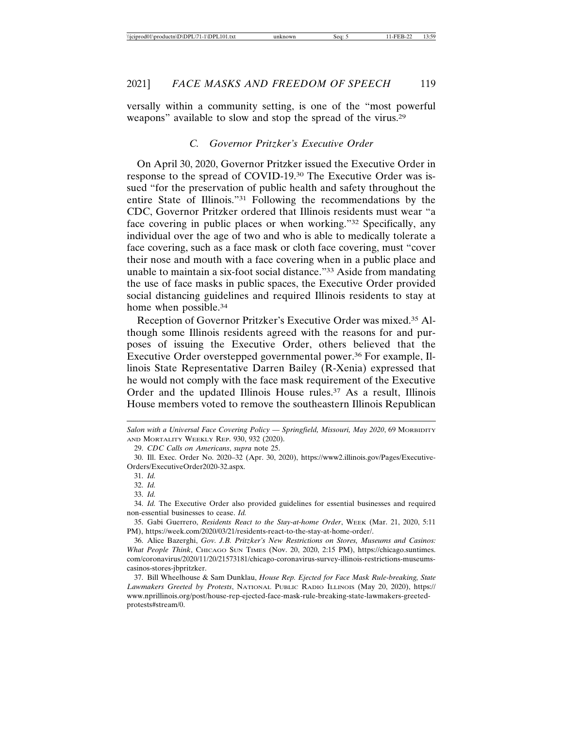versally within a community setting, is one of the "most powerful weapons" available to slow and stop the spread of the virus.29

## *C. Governor Pritzker's Executive Order*

On April 30, 2020, Governor Pritzker issued the Executive Order in response to the spread of COVID-19.30 The Executive Order was issued "for the preservation of public health and safety throughout the entire State of Illinois."31 Following the recommendations by the CDC, Governor Pritzker ordered that Illinois residents must wear "a face covering in public places or when working."32 Specifically, any individual over the age of two and who is able to medically tolerate a face covering, such as a face mask or cloth face covering, must "cover their nose and mouth with a face covering when in a public place and unable to maintain a six-foot social distance."33 Aside from mandating the use of face masks in public spaces, the Executive Order provided social distancing guidelines and required Illinois residents to stay at home when possible.<sup>34</sup>

Reception of Governor Pritzker's Executive Order was mixed.35 Although some Illinois residents agreed with the reasons for and purposes of issuing the Executive Order, others believed that the Executive Order overstepped governmental power.36 For example, Illinois State Representative Darren Bailey (R-Xenia) expressed that he would not comply with the face mask requirement of the Executive Order and the updated Illinois House rules.<sup>37</sup> As a result, Illinois House members voted to remove the southeastern Illinois Republican

29. *CDC Calls on Americans*, *supra* note 25.

*Salon with a Universal Face Covering Policy — Springfield, Missouri, May 2020*, 69 MORBIDITY AND MORTALITY WEEKLY REP. 930, 932 (2020).

<sup>30.</sup> Ill. Exec. Order No. 2020–32 (Apr. 30, 2020), https://www2.illinois.gov/Pages/Executive-Orders/ExecutiveOrder2020-32.aspx.

<sup>31.</sup> *Id.*

<sup>32.</sup> *Id.*

<sup>33.</sup> *Id.*

<sup>34.</sup> *Id.* The Executive Order also provided guidelines for essential businesses and required non-essential businesses to cease. *Id.*

<sup>35.</sup> Gabi Guerrero, *Residents React to the Stay-at-home Order*, WEEK (Mar. 21, 2020, 5:11 PM), https://week.com/2020/03/21/residents-react-to-the-stay-at-home-order/.

<sup>36.</sup> Alice Bazerghi, *Gov. J.B. Pritzker's New Restrictions on Stores, Museums and Casinos: What People Think*, CHICAGO SUN TIMES (Nov. 20, 2020, 2:15 PM), https://chicago.suntimes. com/coronavirus/2020/11/20/21573181/chicago-coronavirus-survey-illinois-restrictions-museumscasinos-stores-jbpritzker.

<sup>37.</sup> Bill Wheelhouse & Sam Dunklau, *House Rep. Ejected for Face Mask Rule-breaking, State Lawmakers Greeted by Protests*, NATIONAL PUBLIC RADIO ILLINOIS (May 20, 2020), https:// www.nprillinois.org/post/house-rep-ejected-face-mask-rule-breaking-state-lawmakers-greetedprotests#stream/0.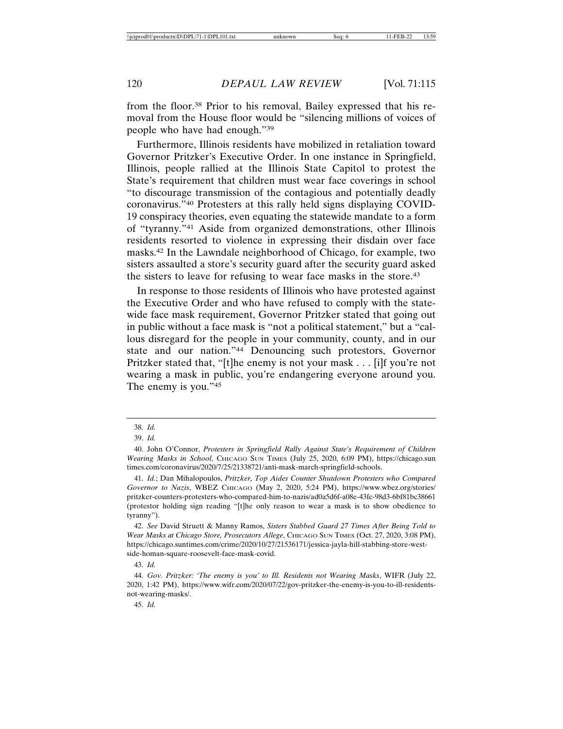from the floor.38 Prior to his removal, Bailey expressed that his removal from the House floor would be "silencing millions of voices of people who have had enough."39

Furthermore, Illinois residents have mobilized in retaliation toward Governor Pritzker's Executive Order. In one instance in Springfield, Illinois, people rallied at the Illinois State Capitol to protest the State's requirement that children must wear face coverings in school "to discourage transmission of the contagious and potentially deadly coronavirus."40 Protesters at this rally held signs displaying COVID-19 conspiracy theories, even equating the statewide mandate to a form of "tyranny."41 Aside from organized demonstrations, other Illinois residents resorted to violence in expressing their disdain over face masks.42 In the Lawndale neighborhood of Chicago, for example, two sisters assaulted a store's security guard after the security guard asked the sisters to leave for refusing to wear face masks in the store.43

In response to those residents of Illinois who have protested against the Executive Order and who have refused to comply with the statewide face mask requirement, Governor Pritzker stated that going out in public without a face mask is "not a political statement," but a "callous disregard for the people in your community, county, and in our state and our nation."44 Denouncing such protestors, Governor Pritzker stated that, "[t]he enemy is not your mask . . . [i]f you're not wearing a mask in public, you're endangering everyone around you. The enemy is you."45

45. *Id.*

<sup>38.</sup> *Id.*

<sup>39.</sup> *Id.*

<sup>40.</sup> John O'Connor, *Protesters in Springfield Rally Against State's Requirement of Children Wearing Masks in School*, CHICAGO SUN TIMES (July 25, 2020, 6:09 PM), https://chicago.sun times.com/coronavirus/2020/7/25/21338721/anti-mask-march-springfield-schools.

<sup>41.</sup> *Id.*; Dan Mihalopoulos, *Pritzker, Top Aides Counter Shutdown Protesters who Compared Governor to Nazis*, WBEZ CHICAGO (May 2, 2020, 5:24 PM), https://www.wbez.org/stories/ pritzker-counters-protesters-who-compared-him-to-nazis/ad0a5d6f-a08e-43fc-98d3-6bf81bc38661 (protestor holding sign reading "[t]he only reason to wear a mask is to show obedience to tyranny").

<sup>42.</sup> *See* David Struett & Manny Ramos, *Sisters Stabbed Guard 27 Times After Being Told to Wear Masks at Chicago Store, Prosecutors Allege*, CHICAGO SUN TIMES (Oct. 27, 2020, 3:08 PM), https://chicago.suntimes.com/crime/2020/10/27/21536171/jessica-jayla-hill-stabbing-store-westside-homan-square-roosevelt-face-mask-covid.

<sup>43.</sup> *Id.*

<sup>44.</sup> *Gov. Pritzker: 'The enemy is you' to Ill. Residents not Wearing Masks*, WIFR (July 22, 2020, 1:42 PM), https://www.wifr.com/2020/07/22/gov-pritzker-the-enemy-is-you-to-ill-residentsnot-wearing-masks/.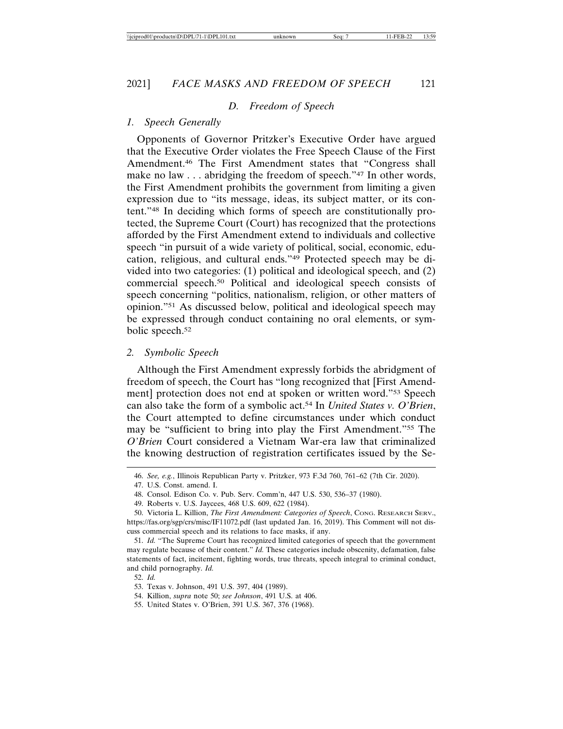#### *D. Freedom of Speech*

#### *1. Speech Generally*

Opponents of Governor Pritzker's Executive Order have argued that the Executive Order violates the Free Speech Clause of the First Amendment.46 The First Amendment states that "Congress shall make no law . . . abridging the freedom of speech."<sup>47</sup> In other words, the First Amendment prohibits the government from limiting a given expression due to "its message, ideas, its subject matter, or its content."48 In deciding which forms of speech are constitutionally protected, the Supreme Court (Court) has recognized that the protections afforded by the First Amendment extend to individuals and collective speech "in pursuit of a wide variety of political, social, economic, education, religious, and cultural ends."49 Protected speech may be divided into two categories: (1) political and ideological speech, and (2) commercial speech.50 Political and ideological speech consists of speech concerning "politics, nationalism, religion, or other matters of opinion."51 As discussed below, political and ideological speech may be expressed through conduct containing no oral elements, or symbolic speech.52

#### *2. Symbolic Speech*

Although the First Amendment expressly forbids the abridgment of freedom of speech, the Court has "long recognized that [First Amendment] protection does not end at spoken or written word."53 Speech can also take the form of a symbolic act.54 In *United States v. O'Brien*, the Court attempted to define circumstances under which conduct may be "sufficient to bring into play the First Amendment."55 The *O'Brien* Court considered a Vietnam War-era law that criminalized the knowing destruction of registration certificates issued by the Se-

<sup>46.</sup> *See, e.g.*, Illinois Republican Party v. Pritzker, 973 F.3d 760, 761–62 (7th Cir. 2020).

<sup>47.</sup> U.S. Const. amend. I.

<sup>48.</sup> Consol. Edison Co. v. Pub. Serv. Comm'n, 447 U.S. 530, 536–37 (1980).

<sup>49.</sup> Roberts v. U.S. Jaycees, 468 U.S. 609, 622 (1984).

<sup>50.</sup> Victoria L. Killion, *The First Amendment: Categories of Speech*, CONG. RESEARCH SERV., https://fas.org/sgp/crs/misc/IF11072.pdf (last updated Jan. 16, 2019). This Comment will not discuss commercial speech and its relations to face masks, if any.

<sup>51.</sup> *Id.* "The Supreme Court has recognized limited categories of speech that the government may regulate because of their content." *Id.* These categories include obscenity, defamation, false statements of fact, incitement, fighting words, true threats, speech integral to criminal conduct, and child pornography. *Id.*

<sup>52.</sup> *Id.*

<sup>53.</sup> Texas v. Johnson, 491 U.S. 397, 404 (1989).

<sup>54.</sup> Killion, *supra* note 50; *see Johnson*, 491 U.S. at 406.

<sup>55.</sup> United States v. O'Brien, 391 U.S. 367, 376 (1968).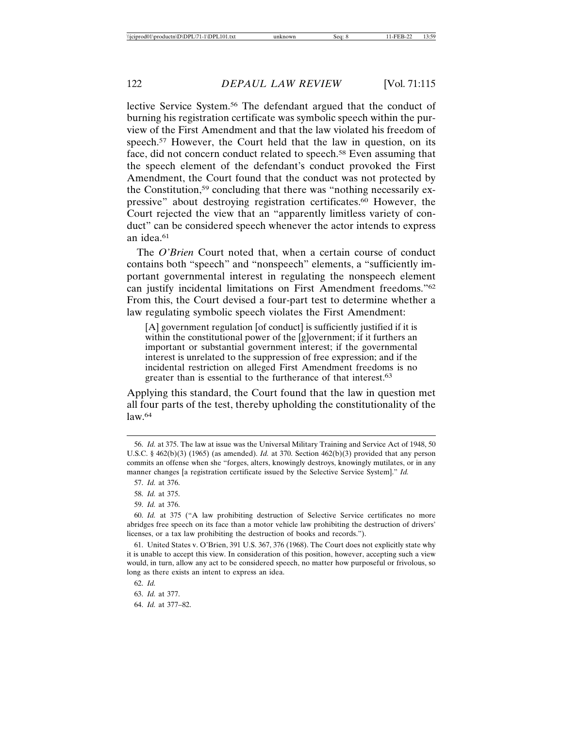lective Service System.56 The defendant argued that the conduct of burning his registration certificate was symbolic speech within the purview of the First Amendment and that the law violated his freedom of speech.<sup>57</sup> However, the Court held that the law in question, on its face, did not concern conduct related to speech.<sup>58</sup> Even assuming that the speech element of the defendant's conduct provoked the First Amendment, the Court found that the conduct was not protected by the Constitution,59 concluding that there was "nothing necessarily expressive" about destroying registration certificates.60 However, the Court rejected the view that an "apparently limitless variety of conduct" can be considered speech whenever the actor intends to express an idea.61

The *O'Brien* Court noted that, when a certain course of conduct contains both "speech" and "nonspeech" elements, a "sufficiently important governmental interest in regulating the nonspeech element can justify incidental limitations on First Amendment freedoms."62 From this, the Court devised a four-part test to determine whether a law regulating symbolic speech violates the First Amendment:

[A] government regulation [of conduct] is sufficiently justified if it is within the constitutional power of the [g]overnment; if it furthers an important or substantial government interest; if the governmental interest is unrelated to the suppression of free expression; and if the incidental restriction on alleged First Amendment freedoms is no greater than is essential to the furtherance of that interest.63

Applying this standard, the Court found that the law in question met all four parts of the test, thereby upholding the constitutionality of the  $law<sup>64</sup>$ 

59. *Id.* at 376.

61. United States v. O'Brien, 391 U.S. 367, 376 (1968). The Court does not explicitly state why it is unable to accept this view. In consideration of this position, however, accepting such a view would, in turn, allow any act to be considered speech, no matter how purposeful or frivolous, so long as there exists an intent to express an idea.

64. *Id.* at 377–82.

<sup>56.</sup> *Id.* at 375. The law at issue was the Universal Military Training and Service Act of 1948, 50 U.S.C. § 462(b)(3) (1965) (as amended). *Id.* at 370. Section 462(b)(3) provided that any person commits an offense when she "forges, alters, knowingly destroys, knowingly mutilates, or in any manner changes [a registration certificate issued by the Selective Service System]." *Id.*

<sup>57.</sup> *Id.* at 376.

<sup>58.</sup> *Id.* at 375.

<sup>60.</sup> *Id.* at 375 ("A law prohibiting destruction of Selective Service certificates no more abridges free speech on its face than a motor vehicle law prohibiting the destruction of drivers' licenses, or a tax law prohibiting the destruction of books and records.").

<sup>62.</sup> *Id.*

<sup>63.</sup> *Id.* at 377.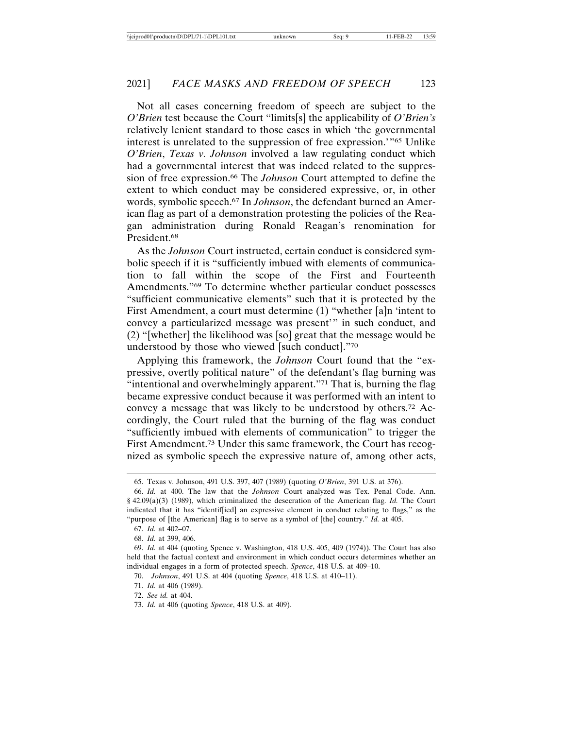Not all cases concerning freedom of speech are subject to the *O'Brien* test because the Court "limits[s] the applicability of *O'Brien's* relatively lenient standard to those cases in which 'the governmental interest is unrelated to the suppression of free expression.'"65 Unlike *O'Brien*, *Texas v. Johnson* involved a law regulating conduct which had a governmental interest that was indeed related to the suppression of free expression.66 The *Johnson* Court attempted to define the extent to which conduct may be considered expressive, or, in other words, symbolic speech.67 In *Johnson*, the defendant burned an American flag as part of a demonstration protesting the policies of the Reagan administration during Ronald Reagan's renomination for President.68

As the *Johnson* Court instructed, certain conduct is considered symbolic speech if it is "sufficiently imbued with elements of communication to fall within the scope of the First and Fourteenth Amendments."69 To determine whether particular conduct possesses "sufficient communicative elements" such that it is protected by the First Amendment, a court must determine (1) "whether [a]n 'intent to convey a particularized message was present'" in such conduct, and (2) "[whether] the likelihood was [so] great that the message would be understood by those who viewed [such conduct]."70

Applying this framework, the *Johnson* Court found that the "expressive, overtly political nature" of the defendant's flag burning was "intentional and overwhelmingly apparent."<sup>71</sup> That is, burning the flag became expressive conduct because it was performed with an intent to convey a message that was likely to be understood by others.72 Accordingly, the Court ruled that the burning of the flag was conduct "sufficiently imbued with elements of communication" to trigger the First Amendment.73 Under this same framework, the Court has recognized as symbolic speech the expressive nature of, among other acts,

71. *Id.* at 406 (1989).

<sup>65.</sup> Texas v. Johnson, 491 U.S. 397, 407 (1989) (quoting *O'Brien*, 391 U.S. at 376).

<sup>66.</sup> *Id.* at 400. The law that the *Johnson* Court analyzed was Tex. Penal Code. Ann. § 42.09(a)(3) (1989), which criminalized the desecration of the American flag. *Id.* The Court indicated that it has "identif[ied] an expressive element in conduct relating to flags," as the "purpose of [the American] flag is to serve as a symbol of [the] country." *Id.* at 405.

<sup>67.</sup> *Id.* at 402–07.

<sup>68.</sup> *Id.* at 399, 406.

<sup>69.</sup> *Id.* at 404 (quoting Spence v. Washington, 418 U.S. 405, 409 (1974)). The Court has also held that the factual context and environment in which conduct occurs determines whether an individual engages in a form of protected speech. *Spence*, 418 U.S. at 409–10.

<sup>70.</sup> *Johnson*, 491 U.S. at 404 (quoting *Spence*, 418 U.S. at 410–11).

<sup>72.</sup> *See id.* at 404.

<sup>73.</sup> *Id.* at 406 (quoting *Spence*, 418 U.S. at 409)*.*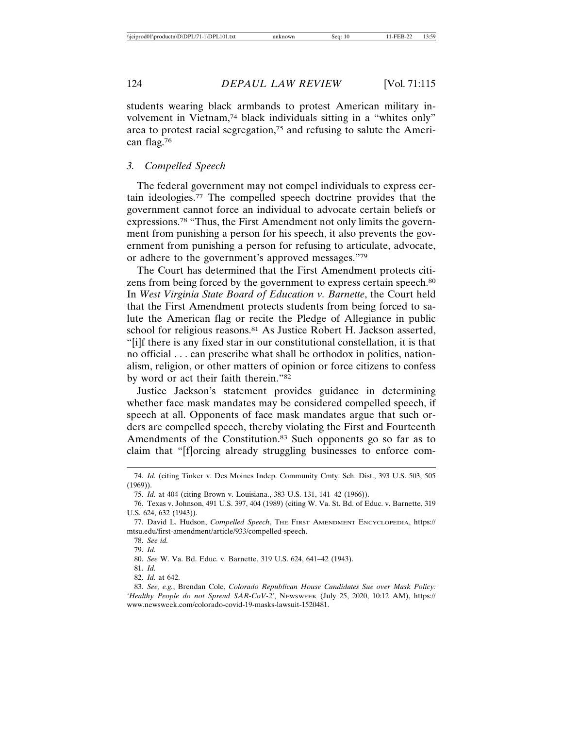students wearing black armbands to protest American military involvement in Vietnam,<sup>74</sup> black individuals sitting in a "whites only" area to protest racial segregation,75 and refusing to salute the American flag.76

#### *3. Compelled Speech*

The federal government may not compel individuals to express certain ideologies.77 The compelled speech doctrine provides that the government cannot force an individual to advocate certain beliefs or expressions.78 "Thus, the First Amendment not only limits the government from punishing a person for his speech, it also prevents the government from punishing a person for refusing to articulate, advocate, or adhere to the government's approved messages."79

The Court has determined that the First Amendment protects citizens from being forced by the government to express certain speech.<sup>80</sup> In *West Virginia State Board of Education v. Barnette*, the Court held that the First Amendment protects students from being forced to salute the American flag or recite the Pledge of Allegiance in public school for religious reasons.<sup>81</sup> As Justice Robert H. Jackson asserted, "[i]f there is any fixed star in our constitutional constellation, it is that no official . . . can prescribe what shall be orthodox in politics, nationalism, religion, or other matters of opinion or force citizens to confess by word or act their faith therein."82

Justice Jackson's statement provides guidance in determining whether face mask mandates may be considered compelled speech, if speech at all. Opponents of face mask mandates argue that such orders are compelled speech, thereby violating the First and Fourteenth Amendments of the Constitution.<sup>83</sup> Such opponents go so far as to claim that "[f]orcing already struggling businesses to enforce com-

82. *Id.* at 642.

<sup>74.</sup> *Id.* (citing Tinker v. Des Moines Indep. Community Cmty. Sch. Dist., 393 U.S. 503, 505 (1969)).

<sup>75.</sup> *Id.* at 404 (citing Brown v. Louisiana., 383 U.S. 131, 141–42 (1966)).

<sup>76.</sup> Texas v. Johnson, 491 U.S. 397, 404 (1989) (citing W. Va. St. Bd. of Educ. v. Barnette, 319 U.S. 624, 632 (1943)).

<sup>77.</sup> David L. Hudson, *Compelled Speech*, THE FIRST AMENDMENT ENCYCLOPEDIA, https:// mtsu.edu/first-amendment/article/933/compelled-speech.

<sup>78.</sup> *See id.*

<sup>79.</sup> *Id.*

<sup>80.</sup> *See* W. Va. Bd. Educ. v. Barnette, 319 U.S. 624, 641–42 (1943).

<sup>81.</sup> *Id.*

<sup>83.</sup> *See, e.g.*, Brendan Cole, *Colorado Republican House Candidates Sue over Mask Policy: 'Healthy People do not Spread SAR-CoV-2'*, NEWSWEEK (July 25, 2020, 10:12 AM), https:// www.newsweek.com/colorado-covid-19-masks-lawsuit-1520481.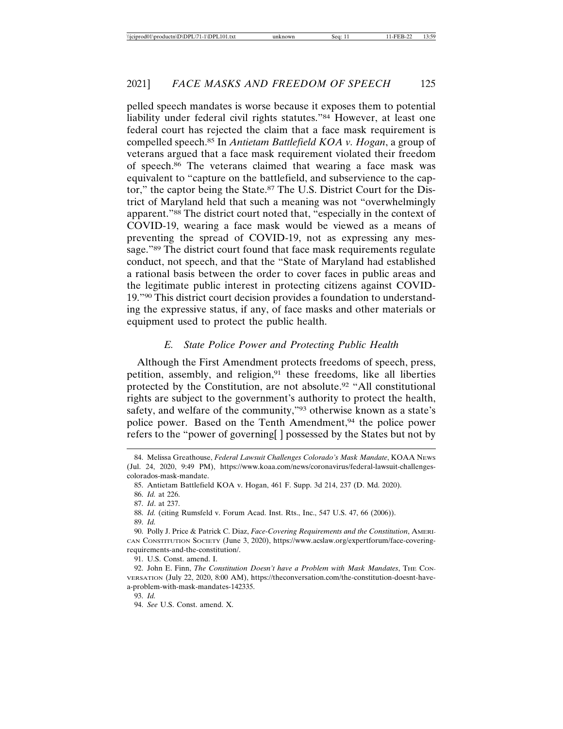pelled speech mandates is worse because it exposes them to potential liability under federal civil rights statutes."84 However, at least one federal court has rejected the claim that a face mask requirement is compelled speech.85 In *Antietam Battlefield KOA v. Hogan*, a group of veterans argued that a face mask requirement violated their freedom of speech.86 The veterans claimed that wearing a face mask was equivalent to "capture on the battlefield, and subservience to the captor," the captor being the State.87 The U.S. District Court for the District of Maryland held that such a meaning was not "overwhelmingly apparent."88 The district court noted that, "especially in the context of COVID-19, wearing a face mask would be viewed as a means of preventing the spread of COVID-19, not as expressing any message."89 The district court found that face mask requirements regulate conduct, not speech, and that the "State of Maryland had established a rational basis between the order to cover faces in public areas and the legitimate public interest in protecting citizens against COVID-19."90 This district court decision provides a foundation to understanding the expressive status, if any, of face masks and other materials or equipment used to protect the public health.

# *E. State Police Power and Protecting Public Health*

Although the First Amendment protects freedoms of speech, press, petition, assembly, and religion,<sup>91</sup> these freedoms, like all liberties protected by the Constitution, are not absolute.92 "All constitutional rights are subject to the government's authority to protect the health, safety, and welfare of the community,"93 otherwise known as a state's police power. Based on the Tenth Amendment,<sup>94</sup> the police power refers to the "power of governing[ ] possessed by the States but not by

91. U.S. Const. amend. I.

<sup>84.</sup> Melissa Greathouse, *Federal Lawsuit Challenges Colorado's Mask Mandate*, KOAA NEWS (Jul. 24, 2020, 9:49 PM), https://www.koaa.com/news/coronavirus/federal-lawsuit-challengescolorados-mask-mandate.

<sup>85.</sup> Antietam Battlefield KOA v. Hogan, 461 F. Supp. 3d 214, 237 (D. Md. 2020).

<sup>86.</sup> *Id.* at 226.

<sup>87.</sup> *Id*. at 237.

<sup>88.</sup> *Id.* (citing Rumsfeld v. Forum Acad. Inst. Rts., Inc., 547 U.S. 47, 66 (2006)).

<sup>89.</sup> *Id.*

<sup>90.</sup> Polly J. Price & Patrick C. Diaz, *Face-Covering Requirements and the Constitution*, AMERI-CAN CONSTITUTION SOCIETY (June 3, 2020), https://www.acslaw.org/expertforum/face-coveringrequirements-and-the-constitution/.

<sup>92.</sup> John E. Finn, *The Constitution Doesn't have a Problem with Mask Mandates*, THE CON-VERSATION (July 22, 2020, 8:00 AM), https://theconversation.com/the-constitution-doesnt-havea-problem-with-mask-mandates-142335.

<sup>93.</sup> *Id.*

<sup>94.</sup> *See* U.S. Const. amend. X.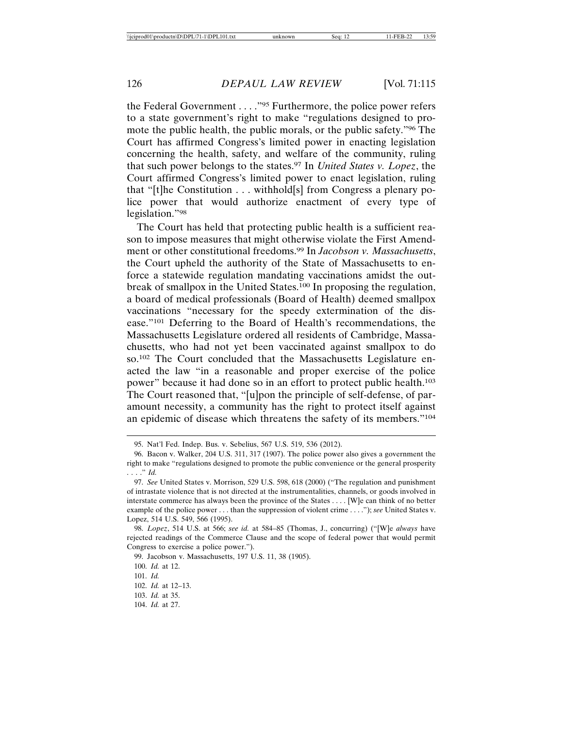the Federal Government . . . ."95 Furthermore, the police power refers to a state government's right to make "regulations designed to promote the public health, the public morals, or the public safety."96 The Court has affirmed Congress's limited power in enacting legislation concerning the health, safety, and welfare of the community, ruling that such power belongs to the states.97 In *United States v. Lopez*, the Court affirmed Congress's limited power to enact legislation, ruling that "[t]he Constitution . . . withhold[s] from Congress a plenary police power that would authorize enactment of every type of legislation."98

The Court has held that protecting public health is a sufficient reason to impose measures that might otherwise violate the First Amendment or other constitutional freedoms.99 In *Jacobson v. Massachusetts*, the Court upheld the authority of the State of Massachusetts to enforce a statewide regulation mandating vaccinations amidst the outbreak of smallpox in the United States.100 In proposing the regulation, a board of medical professionals (Board of Health) deemed smallpox vaccinations "necessary for the speedy extermination of the disease."101 Deferring to the Board of Health's recommendations, the Massachusetts Legislature ordered all residents of Cambridge, Massachusetts, who had not yet been vaccinated against smallpox to do so.102 The Court concluded that the Massachusetts Legislature enacted the law "in a reasonable and proper exercise of the police power" because it had done so in an effort to protect public health.103 The Court reasoned that, "[u]pon the principle of self-defense, of paramount necessity, a community has the right to protect itself against an epidemic of disease which threatens the safety of its members."104

99. Jacobson v. Massachusetts, 197 U.S. 11, 38 (1905).

<sup>95.</sup> Nat'l Fed. Indep. Bus. v. Sebelius, 567 U.S. 519, 536 (2012).

<sup>96.</sup> Bacon v. Walker, 204 U.S. 311, 317 (1907). The police power also gives a government the right to make "regulations designed to promote the public convenience or the general prosperity . . . ." *Id.*

<sup>97.</sup> *See* United States v. Morrison, 529 U.S. 598, 618 (2000) ("The regulation and punishment of intrastate violence that is not directed at the instrumentalities, channels, or goods involved in interstate commerce has always been the province of the States . . . . [W]e can think of no better example of the police power . . . than the suppression of violent crime . . . ."); *see* United States v. Lopez, 514 U.S. 549, 566 (1995).

<sup>98.</sup> *Lopez*, 514 U.S. at 566; *see id.* at 584–85 (Thomas, J., concurring) ("[W]e *always* have rejected readings of the Commerce Clause and the scope of federal power that would permit Congress to exercise a police power.").

<sup>100.</sup> *Id.* at 12.

<sup>101.</sup> *Id.*

<sup>102.</sup> *Id.* at 12–13.

<sup>103.</sup> *Id.* at 35.

<sup>104.</sup> *Id.* at 27.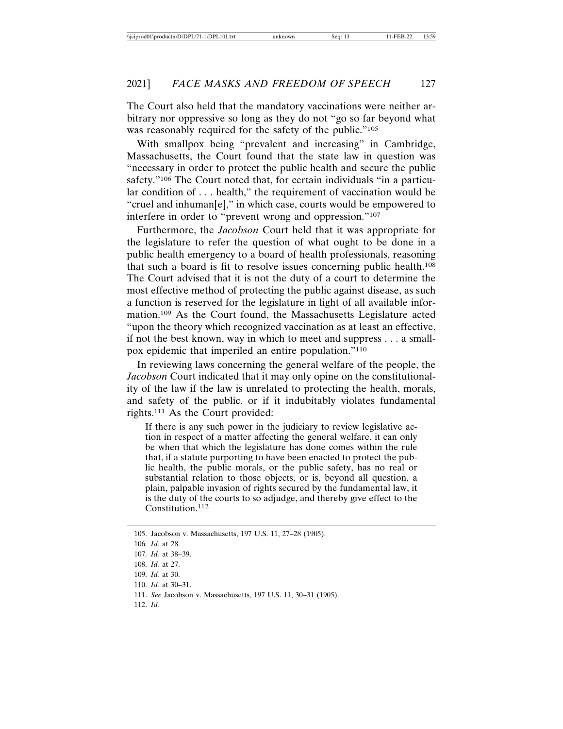The Court also held that the mandatory vaccinations were neither arbitrary nor oppressive so long as they do not "go so far beyond what was reasonably required for the safety of the public."<sup>105</sup>

With smallpox being "prevalent and increasing" in Cambridge, Massachusetts, the Court found that the state law in question was "necessary in order to protect the public health and secure the public safety."<sup>106</sup> The Court noted that, for certain individuals "in a particular condition of . . . health," the requirement of vaccination would be "cruel and inhuman[e]," in which case, courts would be empowered to interfere in order to "prevent wrong and oppression."107

Furthermore, the *Jacobson* Court held that it was appropriate for the legislature to refer the question of what ought to be done in a public health emergency to a board of health professionals, reasoning that such a board is fit to resolve issues concerning public health.108 The Court advised that it is not the duty of a court to determine the most effective method of protecting the public against disease, as such a function is reserved for the legislature in light of all available information.109 As the Court found, the Massachusetts Legislature acted "upon the theory which recognized vaccination as at least an effective, if not the best known, way in which to meet and suppress . . . a smallpox epidemic that imperiled an entire population."110

In reviewing laws concerning the general welfare of the people, the *Jacobson* Court indicated that it may only opine on the constitutionality of the law if the law is unrelated to protecting the health, morals, and safety of the public, or if it indubitably violates fundamental rights.111 As the Court provided:

If there is any such power in the judiciary to review legislative action in respect of a matter affecting the general welfare, it can only be when that which the legislature has done comes within the rule that, if a statute purporting to have been enacted to protect the public health, the public morals, or the public safety, has no real or substantial relation to those objects, or is, beyond all question, a plain, palpable invasion of rights secured by the fundamental law, it is the duty of the courts to so adjudge, and thereby give effect to the Constitution.<sup>112</sup>

110. *Id.* at 30–31.

112. *Id.*

<sup>105.</sup> Jacobson v. Massachusetts, 197 U.S. 11, 27–28 (1905).

<sup>106.</sup> *Id.* at 28.

<sup>107.</sup> *Id.* at 38–39.

<sup>108.</sup> *Id.* at 27.

<sup>109.</sup> *Id.* at 30.

<sup>111.</sup> *See* Jacobson v. Massachusetts, 197 U.S. 11, 30–31 (1905).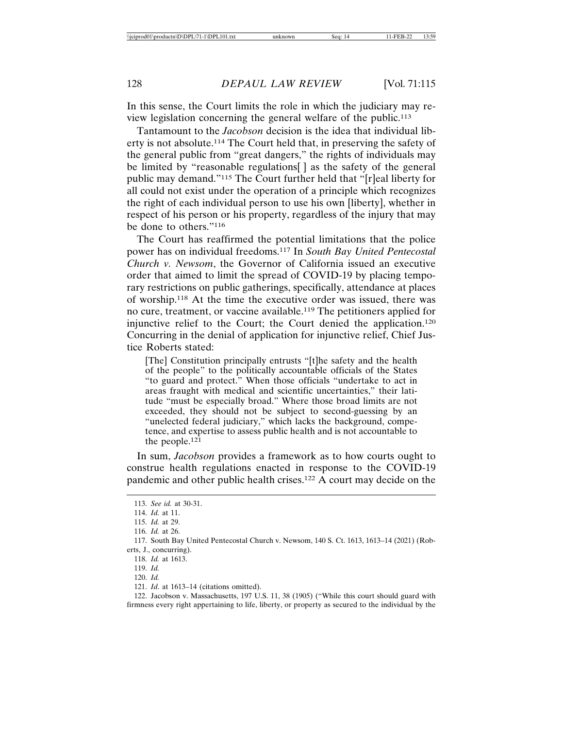In this sense, the Court limits the role in which the judiciary may review legislation concerning the general welfare of the public.113

Tantamount to the *Jacobson* decision is the idea that individual liberty is not absolute.114 The Court held that, in preserving the safety of the general public from "great dangers," the rights of individuals may be limited by "reasonable regulations[ ] as the safety of the general public may demand."115 The Court further held that "[r]eal liberty for all could not exist under the operation of a principle which recognizes the right of each individual person to use his own [liberty], whether in respect of his person or his property, regardless of the injury that may be done to others."116

The Court has reaffirmed the potential limitations that the police power has on individual freedoms.117 In *South Bay United Pentecostal Church v. Newsom*, the Governor of California issued an executive order that aimed to limit the spread of COVID-19 by placing temporary restrictions on public gatherings, specifically, attendance at places of worship.118 At the time the executive order was issued, there was no cure, treatment, or vaccine available.119 The petitioners applied for injunctive relief to the Court; the Court denied the application.120 Concurring in the denial of application for injunctive relief, Chief Justice Roberts stated:

[The] Constitution principally entrusts "[t]he safety and the health of the people" to the politically accountable officials of the States "to guard and protect." When those officials "undertake to act in areas fraught with medical and scientific uncertainties," their latitude "must be especially broad." Where those broad limits are not exceeded, they should not be subject to second-guessing by an "unelected federal judiciary," which lacks the background, competence, and expertise to assess public health and is not accountable to the people. $12\overline{1}$ 

In sum, *Jacobson* provides a framework as to how courts ought to construe health regulations enacted in response to the COVID-19 pandemic and other public health crises.122 A court may decide on the

122. Jacobson v. Massachusetts, 197 U.S. 11, 38 (1905) ("While this court should guard with firmness every right appertaining to life, liberty, or property as secured to the individual by the

<sup>113.</sup> *See id.* at 30-31.

<sup>114.</sup> *Id.* at 11.

<sup>115.</sup> *Id.* at 29.

<sup>116.</sup> *Id.* at 26.

<sup>117.</sup> South Bay United Pentecostal Church v. Newsom, 140 S. Ct. 1613, 1613–14 (2021) (Roberts, J., concurring).

<sup>118.</sup> *Id.* at 1613.

<sup>119.</sup> *Id.*

<sup>120.</sup> *Id.*

<sup>121.</sup> *Id*. at 1613–14 (citations omitted).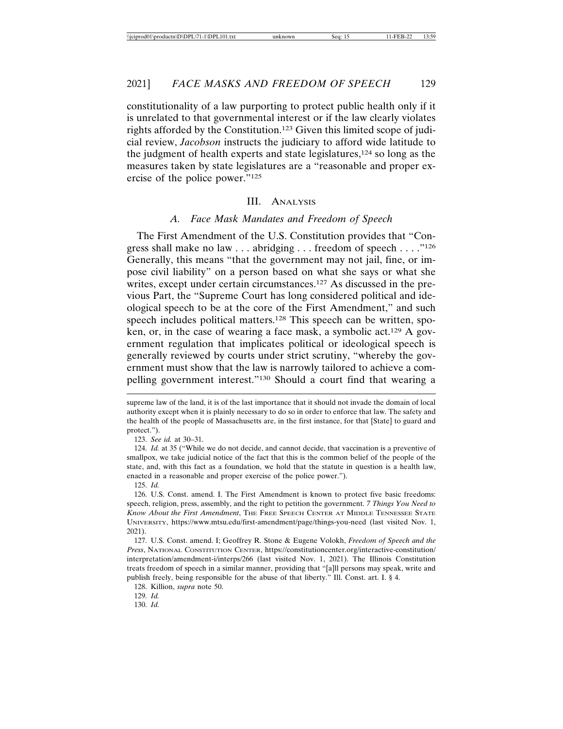constitutionality of a law purporting to protect public health only if it is unrelated to that governmental interest or if the law clearly violates rights afforded by the Constitution.123 Given this limited scope of judicial review, *Jacobson* instructs the judiciary to afford wide latitude to the judgment of health experts and state legislatures,124 so long as the measures taken by state legislatures are a "reasonable and proper exercise of the police power."125

#### III. ANALYSIS

#### *A. Face Mask Mandates and Freedom of Speech*

The First Amendment of the U.S. Constitution provides that "Congress shall make no law . . . abridging . . . freedom of speech . . . ."126 Generally, this means "that the government may not jail, fine, or impose civil liability" on a person based on what she says or what she writes, except under certain circumstances.<sup>127</sup> As discussed in the previous Part, the "Supreme Court has long considered political and ideological speech to be at the core of the First Amendment," and such speech includes political matters.128 This speech can be written, spoken, or, in the case of wearing a face mask, a symbolic act.129 A government regulation that implicates political or ideological speech is generally reviewed by courts under strict scrutiny, "whereby the government must show that the law is narrowly tailored to achieve a compelling government interest."130 Should a court find that wearing a

124. *Id.* at 35 ("While we do not decide, and cannot decide, that vaccination is a preventive of smallpox, we take judicial notice of the fact that this is the common belief of the people of the state, and, with this fact as a foundation, we hold that the statute in question is a health law, enacted in a reasonable and proper exercise of the police power.").

125. *Id.*

130. *Id.*

supreme law of the land, it is of the last importance that it should not invade the domain of local authority except when it is plainly necessary to do so in order to enforce that law. The safety and the health of the people of Massachusetts are, in the first instance, for that [State] to guard and protect.").

<sup>123.</sup> *See id.* at 30–31.

<sup>126.</sup> U.S. Const. amend. I. The First Amendment is known to protect five basic freedoms: speech, religion, press, assembly, and the right to petition the government. *7 Things You Need to Know About the First Amendment*, THE FREE SPEECH CENTER AT MIDDLE TENNESSEE STATE UNIVERSITY, https://www.mtsu.edu/first-amendment/page/things-you-need (last visited Nov. 1, 2021).

<sup>127.</sup> U.S. Const. amend. I; Geoffrey R. Stone & Eugene Volokh, *Freedom of Speech and the Press*, NATIONAL CONSTITUTION CENTER, https://constitutioncenter.org/interactive-constitution/ interpretation/amendment-i/interps/266 (last visited Nov. 1, 2021). The Illinois Constitution treats freedom of speech in a similar manner, providing that "[a]ll persons may speak, write and publish freely, being responsible for the abuse of that liberty." Ill. Const. art. I. § 4.

<sup>128.</sup> Killion, *supra* note 50.

<sup>129.</sup> *Id.*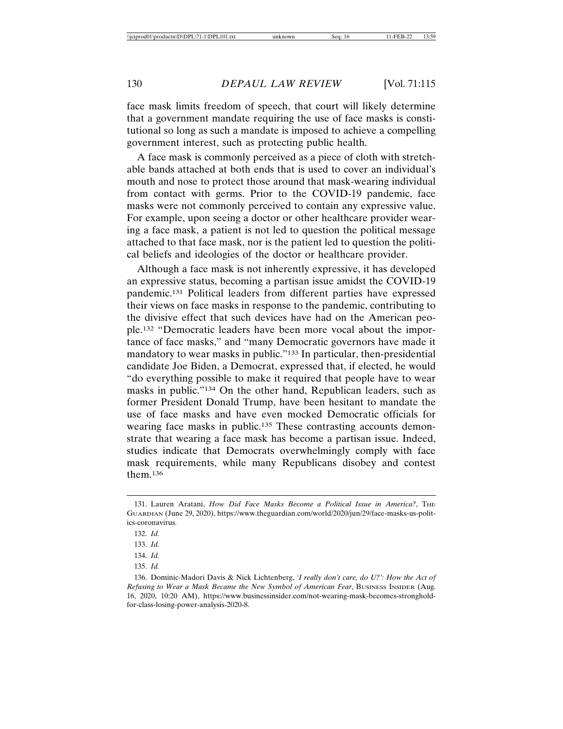face mask limits freedom of speech, that court will likely determine that a government mandate requiring the use of face masks is constitutional so long as such a mandate is imposed to achieve a compelling government interest, such as protecting public health.

A face mask is commonly perceived as a piece of cloth with stretchable bands attached at both ends that is used to cover an individual's mouth and nose to protect those around that mask-wearing individual from contact with germs. Prior to the COVID-19 pandemic, face masks were not commonly perceived to contain any expressive value. For example, upon seeing a doctor or other healthcare provider wearing a face mask, a patient is not led to question the political message attached to that face mask, nor is the patient led to question the political beliefs and ideologies of the doctor or healthcare provider.

Although a face mask is not inherently expressive, it has developed an expressive status, becoming a partisan issue amidst the COVID-19 pandemic.131 Political leaders from different parties have expressed their views on face masks in response to the pandemic, contributing to the divisive effect that such devices have had on the American people.132 "Democratic leaders have been more vocal about the importance of face masks," and "many Democratic governors have made it mandatory to wear masks in public."133 In particular, then-presidential candidate Joe Biden, a Democrat, expressed that, if elected, he would "do everything possible to make it required that people have to wear masks in public."134 On the other hand, Republican leaders, such as former President Donald Trump, have been hesitant to mandate the use of face masks and have even mocked Democratic officials for wearing face masks in public.<sup>135</sup> These contrasting accounts demonstrate that wearing a face mask has become a partisan issue. Indeed, studies indicate that Democrats overwhelmingly comply with face mask requirements, while many Republicans disobey and contest them.136

<sup>131.</sup> Lauren Aratani, *How Did Face Masks Become a Political Issue in America?*, THE GUARDIAN (June 29, 2020), https://www.theguardian.com/world/2020/jun/29/face-masks-us-politics-coronavirus.

<sup>132.</sup> *Id.*

<sup>133.</sup> *Id.*

<sup>134.</sup> *Id.*

<sup>135.</sup> *Id.*

<sup>136.</sup> Dominic-Madori Davis & Nick Lichtenberg, *'I really don't care, do U?': How the Act of Refusing to Wear a Mask Became the New Symbol of American Fear*, BUSINESS INSIDER (Aug. 16, 2020, 10:20 AM), https://www.businessinsider.com/not-wearing-mask-becomes-strongholdfor-class-losing-power-analysis-2020-8.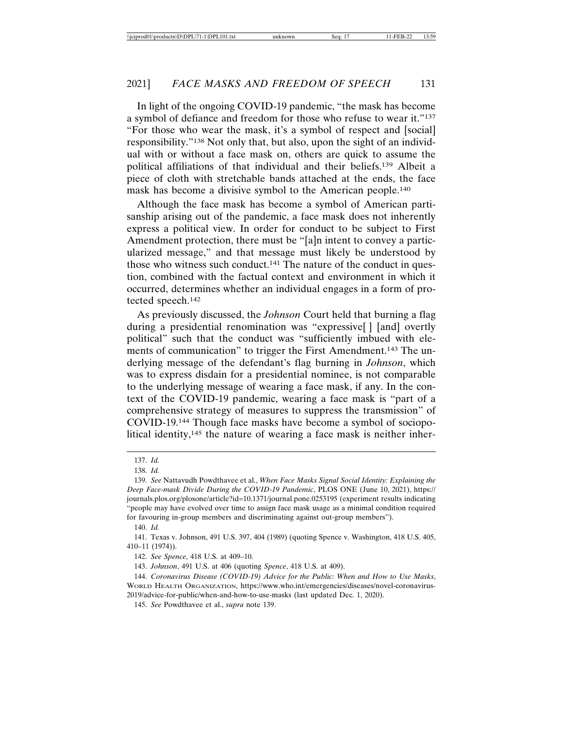In light of the ongoing COVID-19 pandemic, "the mask has become a symbol of defiance and freedom for those who refuse to wear it."137 "For those who wear the mask, it's a symbol of respect and [social] responsibility."138 Not only that, but also, upon the sight of an individual with or without a face mask on, others are quick to assume the political affiliations of that individual and their beliefs.139 Albeit a piece of cloth with stretchable bands attached at the ends, the face mask has become a divisive symbol to the American people.140

Although the face mask has become a symbol of American partisanship arising out of the pandemic, a face mask does not inherently express a political view. In order for conduct to be subject to First Amendment protection, there must be "[a]n intent to convey a particularized message," and that message must likely be understood by those who witness such conduct.141 The nature of the conduct in question, combined with the factual context and environment in which it occurred, determines whether an individual engages in a form of protected speech.142

As previously discussed, the *Johnson* Court held that burning a flag during a presidential renomination was "expressive[ ] [and] overtly political" such that the conduct was "sufficiently imbued with elements of communication" to trigger the First Amendment.<sup>143</sup> The underlying message of the defendant's flag burning in *Johnson*, which was to express disdain for a presidential nominee, is not comparable to the underlying message of wearing a face mask, if any. In the context of the COVID-19 pandemic, wearing a face mask is "part of a comprehensive strategy of measures to suppress the transmission" of COVID-19.144 Though face masks have become a symbol of sociopolitical identity, $145$  the nature of wearing a face mask is neither inher-

141. Texas v. Johnson, 491 U.S. 397, 404 (1989) (quoting Spence v. Washington, 418 U.S. 405, 410–11 (1974)).

142. *See Spence*, 418 U.S. at 409–10.

143. *Johnson*, 491 U.S. at 406 (quoting *Spence*, 418 U.S. at 409).

144. *Coronavirus Disease (COVID-19) Advice for the Public: When and How to Use Masks*, WORLD HEALTH ORGANIZATION, https://www.who.int/emergencies/diseases/novel-coronavirus-2019/advice-for-public/when-and-how-to-use-masks (last updated Dec. 1, 2020).

145. *See* Powdthavee et al., *supra* note 139.

<sup>137.</sup> *Id.*

<sup>138.</sup> *Id.*

<sup>139.</sup> *See* Nattavudh Powdthavee et al., *When Face Masks Signal Social Identity: Explaining the Deep Face-mask Divide During the COVID-19 Pandemic*, PLOS ONE (June 10, 2021), https:// journals.plos.org/plosone/article?id=10.1371/journal.pone.0253195 (experiment results indicating "people may have evolved over time to assign face mask usage as a minimal condition required for favouring in-group members and discriminating against out-group members").

<sup>140.</sup> *Id.*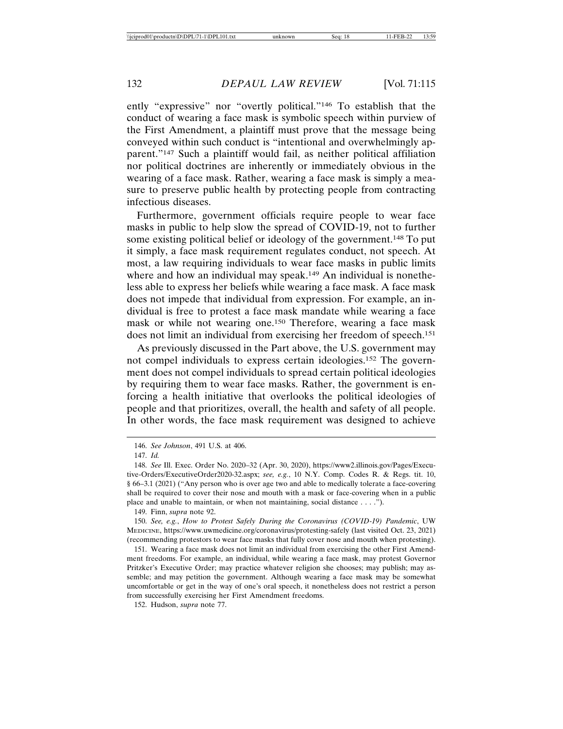ently "expressive" nor "overtly political."146 To establish that the conduct of wearing a face mask is symbolic speech within purview of the First Amendment, a plaintiff must prove that the message being conveyed within such conduct is "intentional and overwhelmingly apparent."147 Such a plaintiff would fail, as neither political affiliation nor political doctrines are inherently or immediately obvious in the wearing of a face mask. Rather, wearing a face mask is simply a measure to preserve public health by protecting people from contracting infectious diseases.

Furthermore, government officials require people to wear face masks in public to help slow the spread of COVID-19, not to further some existing political belief or ideology of the government.148 To put it simply, a face mask requirement regulates conduct, not speech. At most, a law requiring individuals to wear face masks in public limits where and how an individual may speak.<sup>149</sup> An individual is nonetheless able to express her beliefs while wearing a face mask. A face mask does not impede that individual from expression. For example, an individual is free to protest a face mask mandate while wearing a face mask or while not wearing one.150 Therefore, wearing a face mask does not limit an individual from exercising her freedom of speech.151

As previously discussed in the Part above, the U.S. government may not compel individuals to express certain ideologies.152 The government does not compel individuals to spread certain political ideologies by requiring them to wear face masks. Rather, the government is enforcing a health initiative that overlooks the political ideologies of people and that prioritizes, overall, the health and safety of all people. In other words, the face mask requirement was designed to achieve

<sup>146.</sup> *See Johnson*, 491 U.S. at 406.

<sup>147.</sup> *Id.*

<sup>148.</sup> *See* Ill. Exec. Order No. 2020–32 (Apr. 30, 2020), https://www2.illinois.gov/Pages/Executive-Orders/ExecutiveOrder2020-32.aspx; *see, e.g.*, 10 N.Y. Comp. Codes R. & Regs. tit. 10, § 66–3.1 (2021) ("Any person who is over age two and able to medically tolerate a face-covering shall be required to cover their nose and mouth with a mask or face-covering when in a public place and unable to maintain, or when not maintaining, social distance . . . .").

<sup>149.</sup> Finn, *supra* note 92.

<sup>150.</sup> *See, e.g.*, *How to Protest Safely During the Coronavirus (COVID-19) Pandemic*, UW MEDICINE, https://www.uwmedicine.org/coronavirus/protesting-safely (last visited Oct. 23, 2021) (recommending protestors to wear face masks that fully cover nose and mouth when protesting).

<sup>151.</sup> Wearing a face mask does not limit an individual from exercising the other First Amendment freedoms. For example, an individual, while wearing a face mask, may protest Governor Pritzker's Executive Order; may practice whatever religion she chooses; may publish; may assemble; and may petition the government. Although wearing a face mask may be somewhat uncomfortable or get in the way of one's oral speech, it nonetheless does not restrict a person from successfully exercising her First Amendment freedoms.

<sup>152.</sup> Hudson, *supra* note 77.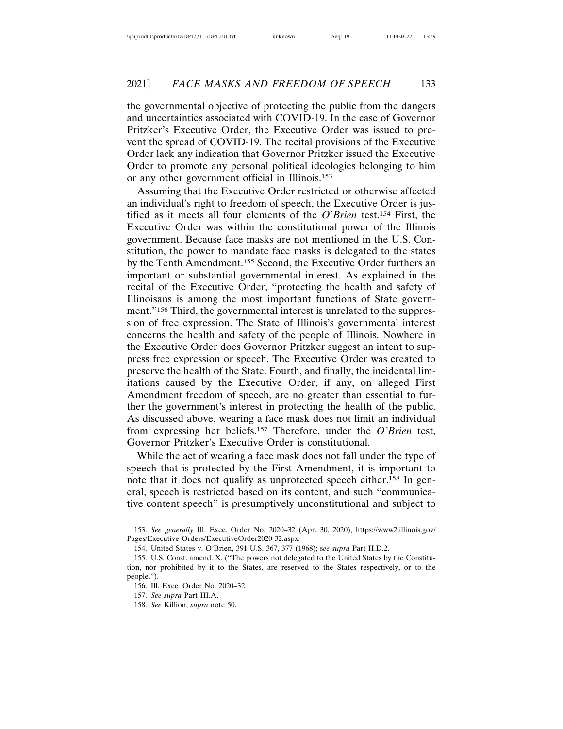the governmental objective of protecting the public from the dangers and uncertainties associated with COVID-19. In the case of Governor Pritzker's Executive Order, the Executive Order was issued to prevent the spread of COVID-19. The recital provisions of the Executive Order lack any indication that Governor Pritzker issued the Executive Order to promote any personal political ideologies belonging to him or any other government official in Illinois.153

Assuming that the Executive Order restricted or otherwise affected an individual's right to freedom of speech, the Executive Order is justified as it meets all four elements of the *O'Brien* test.154 First, the Executive Order was within the constitutional power of the Illinois government. Because face masks are not mentioned in the U.S. Constitution, the power to mandate face masks is delegated to the states by the Tenth Amendment.155 Second, the Executive Order furthers an important or substantial governmental interest. As explained in the recital of the Executive Order, "protecting the health and safety of Illinoisans is among the most important functions of State government."156 Third, the governmental interest is unrelated to the suppression of free expression. The State of Illinois's governmental interest concerns the health and safety of the people of Illinois. Nowhere in the Executive Order does Governor Pritzker suggest an intent to suppress free expression or speech. The Executive Order was created to preserve the health of the State. Fourth, and finally, the incidental limitations caused by the Executive Order, if any, on alleged First Amendment freedom of speech, are no greater than essential to further the government's interest in protecting the health of the public. As discussed above, wearing a face mask does not limit an individual from expressing her beliefs.157 Therefore, under the *O'Brien* test, Governor Pritzker's Executive Order is constitutional.

While the act of wearing a face mask does not fall under the type of speech that is protected by the First Amendment, it is important to note that it does not qualify as unprotected speech either.<sup>158</sup> In general, speech is restricted based on its content, and such "communicative content speech" is presumptively unconstitutional and subject to

<sup>153.</sup> *See generally* Ill. Exec. Order No. 2020–32 (Apr. 30, 2020), https://www2.illinois.gov/ Pages/Executive-Orders/ExecutiveOrder2020-32.aspx.

<sup>154.</sup> United States v. O'Brien, 391 U.S. 367, 377 (1968); s*ee supra* Part II.D.2.

<sup>155.</sup> U.S. Const. amend. X. ("The powers not delegated to the United States by the Constitution, nor prohibited by it to the States, are reserved to the States respectively, or to the people.").

<sup>156.</sup> Ill. Exec. Order No. 2020–32.

<sup>157.</sup> *See supra* Part III.A.

<sup>158.</sup> *See* Killion, *supra* note 50.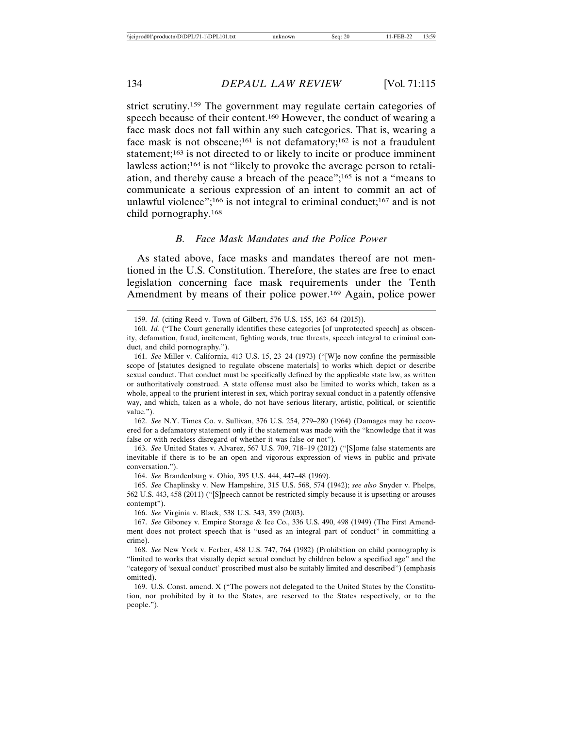strict scrutiny.159 The government may regulate certain categories of speech because of their content.160 However, the conduct of wearing a face mask does not fall within any such categories. That is, wearing a face mask is not obscene;<sup>161</sup> is not defamatory;<sup>162</sup> is not a fraudulent statement;<sup>163</sup> is not directed to or likely to incite or produce imminent lawless action;164 is not "likely to provoke the average person to retaliation, and thereby cause a breach of the peace";165 is not a "means to communicate a serious expression of an intent to commit an act of unlawful violence";<sup>166</sup> is not integral to criminal conduct;<sup>167</sup> and is not child pornography.168

## *B. Face Mask Mandates and the Police Power*

As stated above, face masks and mandates thereof are not mentioned in the U.S. Constitution. Therefore, the states are free to enact legislation concerning face mask requirements under the Tenth Amendment by means of their police power.<sup>169</sup> Again, police power

162. *See* N.Y. Times Co. v. Sullivan, 376 U.S. 254, 279–280 (1964) (Damages may be recovered for a defamatory statement only if the statement was made with the "knowledge that it was false or with reckless disregard of whether it was false or not").

163. *See* United States v. Alvarez, 567 U.S. 709, 718–19 (2012) ("[S]ome false statements are inevitable if there is to be an open and vigorous expression of views in public and private conversation.").

164. *See* Brandenburg v. Ohio, 395 U.S. 444, 447–48 (1969).

165. *See* Chaplinsky v. New Hampshire, 315 U.S. 568, 574 (1942); *see also* Snyder v. Phelps, 562 U.S. 443, 458 (2011) ("[S]peech cannot be restricted simply because it is upsetting or arouses contempt").

166. *See* Virginia v. Black, 538 U.S. 343, 359 (2003).

167. *See* Giboney v. Empire Storage & Ice Co., 336 U.S. 490, 498 (1949) (The First Amendment does not protect speech that is "used as an integral part of conduct" in committing a crime).

168. *See* New York v. Ferber, 458 U.S. 747, 764 (1982) (Prohibition on child pornography is "limited to works that visually depict sexual conduct by children below a specified age" and the "category of 'sexual conduct' proscribed must also be suitably limited and described") (emphasis omitted).

169. U.S. Const. amend. X ("The powers not delegated to the United States by the Constitution, nor prohibited by it to the States, are reserved to the States respectively, or to the people.").

<sup>159.</sup> *Id.* (citing Reed v. Town of Gilbert, 576 U.S. 155, 163–64 (2015)).

<sup>160.</sup> *Id.* ("The Court generally identifies these categories [of unprotected speech] as obscenity, defamation, fraud, incitement, fighting words, true threats, speech integral to criminal conduct, and child pornography.").

<sup>161.</sup> *See* Miller v. California, 413 U.S. 15, 23–24 (1973) ("[W]e now confine the permissible scope of [statutes designed to regulate obscene materials] to works which depict or describe sexual conduct. That conduct must be specifically defined by the applicable state law, as written or authoritatively construed. A state offense must also be limited to works which, taken as a whole, appeal to the prurient interest in sex, which portray sexual conduct in a patently offensive way, and which, taken as a whole, do not have serious literary, artistic, political, or scientific value.").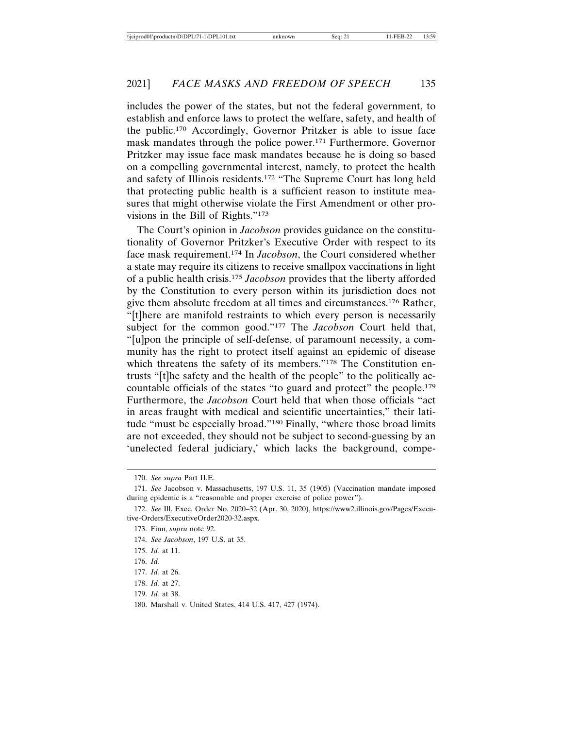includes the power of the states, but not the federal government, to establish and enforce laws to protect the welfare, safety, and health of the public.170 Accordingly, Governor Pritzker is able to issue face mask mandates through the police power.171 Furthermore, Governor Pritzker may issue face mask mandates because he is doing so based on a compelling governmental interest, namely, to protect the health and safety of Illinois residents.172 "The Supreme Court has long held that protecting public health is a sufficient reason to institute measures that might otherwise violate the First Amendment or other provisions in the Bill of Rights."173

The Court's opinion in *Jacobson* provides guidance on the constitutionality of Governor Pritzker's Executive Order with respect to its face mask requirement.174 In *Jacobson*, the Court considered whether a state may require its citizens to receive smallpox vaccinations in light of a public health crisis.175 *Jacobson* provides that the liberty afforded by the Constitution to every person within its jurisdiction does not give them absolute freedom at all times and circumstances.176 Rather, "[t]here are manifold restraints to which every person is necessarily subject for the common good."177 The *Jacobson* Court held that, "[u]pon the principle of self-defense, of paramount necessity, a community has the right to protect itself against an epidemic of disease which threatens the safety of its members."<sup>178</sup> The Constitution entrusts "[t]he safety and the health of the people" to the politically accountable officials of the states "to guard and protect" the people.179 Furthermore, the *Jacobson* Court held that when those officials "act in areas fraught with medical and scientific uncertainties," their latitude "must be especially broad."180 Finally, "where those broad limits are not exceeded, they should not be subject to second-guessing by an 'unelected federal judiciary,' which lacks the background, compe-

- 174. *See Jacobson*, 197 U.S. at 35.
- 175. *Id.* at 11.

<sup>170.</sup> *See supra* Part II.E.

<sup>171.</sup> *See* Jacobson v. Massachusetts, 197 U.S. 11, 35 (1905) (Vaccination mandate imposed during epidemic is a "reasonable and proper exercise of police power").

<sup>172.</sup> *See* Ill. Exec. Order No. 2020–32 (Apr. 30, 2020), https://www2.illinois.gov/Pages/Executive-Orders/ExecutiveOrder2020-32.aspx.

<sup>173.</sup> Finn, *supra* note 92.

<sup>176.</sup> *Id.*

<sup>177.</sup> *Id.* at 26.

<sup>178.</sup> *Id.* at 27.

<sup>179.</sup> *Id.* at 38.

<sup>180.</sup> Marshall v. United States, 414 U.S. 417, 427 (1974).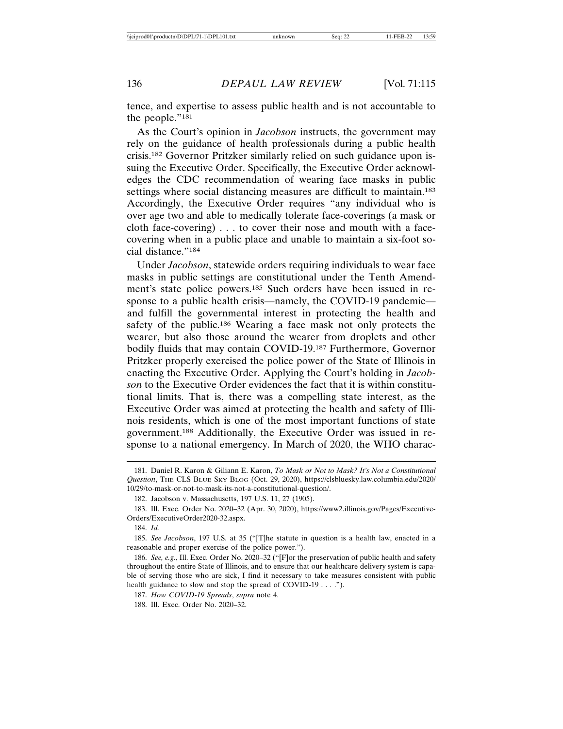tence, and expertise to assess public health and is not accountable to the people."181

As the Court's opinion in *Jacobson* instructs, the government may rely on the guidance of health professionals during a public health crisis.182 Governor Pritzker similarly relied on such guidance upon issuing the Executive Order. Specifically, the Executive Order acknowledges the CDC recommendation of wearing face masks in public settings where social distancing measures are difficult to maintain.<sup>183</sup> Accordingly, the Executive Order requires "any individual who is over age two and able to medically tolerate face-coverings (a mask or cloth face-covering) . . . to cover their nose and mouth with a facecovering when in a public place and unable to maintain a six-foot social distance."184

Under *Jacobson*, statewide orders requiring individuals to wear face masks in public settings are constitutional under the Tenth Amendment's state police powers.185 Such orders have been issued in response to a public health crisis—namely, the COVID-19 pandemic and fulfill the governmental interest in protecting the health and safety of the public.186 Wearing a face mask not only protects the wearer, but also those around the wearer from droplets and other bodily fluids that may contain COVID-19.187 Furthermore, Governor Pritzker properly exercised the police power of the State of Illinois in enacting the Executive Order. Applying the Court's holding in *Jacobson* to the Executive Order evidences the fact that it is within constitutional limits. That is, there was a compelling state interest, as the Executive Order was aimed at protecting the health and safety of Illinois residents, which is one of the most important functions of state government.188 Additionally, the Executive Order was issued in response to a national emergency. In March of 2020, the WHO charac-

<sup>181.</sup> Daniel R. Karon & Giliann E. Karon, *To Mask or Not to Mask? It's Not a Constitutional Question*, THE CLS BLUE SKY BLOG (Oct. 29, 2020), https://clsbluesky.law.columbia.edu/2020/ 10/29/to-mask-or-not-to-mask-its-not-a-constitutional-question/.

<sup>182.</sup> Jacobson v. Massachusetts, 197 U.S. 11, 27 (1905).

<sup>183.</sup> Ill. Exec. Order No. 2020–32 (Apr. 30, 2020), https://www2.illinois.gov/Pages/Executive-Orders/ExecutiveOrder2020-32.aspx.

<sup>184.</sup> *Id.*

<sup>185.</sup> *See Jacobson*, 197 U.S. at 35 ("[T]he statute in question is a health law, enacted in a reasonable and proper exercise of the police power.").

<sup>186.</sup> *See, e.g*., Ill. Exec. Order No. 2020–32 ("[F]or the preservation of public health and safety throughout the entire State of Illinois, and to ensure that our healthcare delivery system is capable of serving those who are sick, I find it necessary to take measures consistent with public health guidance to slow and stop the spread of COVID-19 . . . .").

<sup>187.</sup> *How COVID-19 Spreads*, *supra* note 4.

<sup>188.</sup> Ill. Exec. Order No. 2020–32.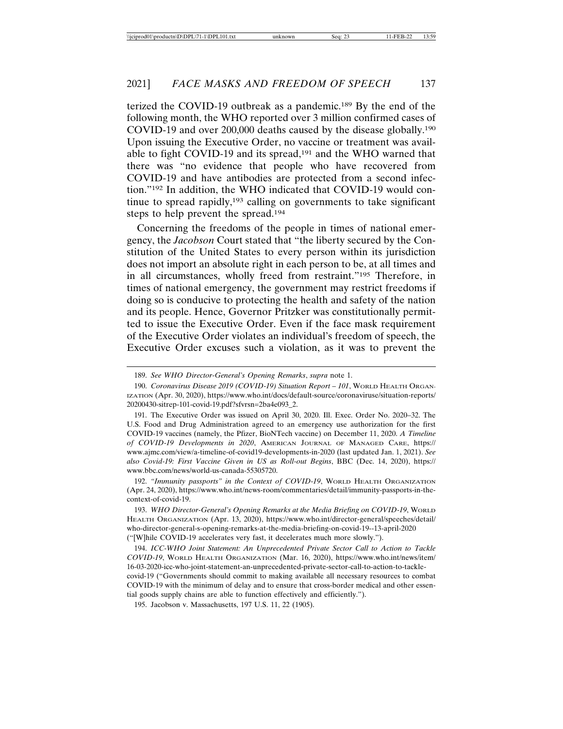terized the COVID-19 outbreak as a pandemic.189 By the end of the following month, the WHO reported over 3 million confirmed cases of COVID-19 and over 200,000 deaths caused by the disease globally.190 Upon issuing the Executive Order, no vaccine or treatment was available to fight COVID-19 and its spread,191 and the WHO warned that there was "no evidence that people who have recovered from COVID-19 and have antibodies are protected from a second infection."192 In addition, the WHO indicated that COVID-19 would continue to spread rapidly, $193$  calling on governments to take significant steps to help prevent the spread.194

Concerning the freedoms of the people in times of national emergency, the *Jacobson* Court stated that "the liberty secured by the Constitution of the United States to every person within its jurisdiction does not import an absolute right in each person to be, at all times and in all circumstances, wholly freed from restraint."195 Therefore, in times of national emergency, the government may restrict freedoms if doing so is conducive to protecting the health and safety of the nation and its people. Hence, Governor Pritzker was constitutionally permitted to issue the Executive Order. Even if the face mask requirement of the Executive Order violates an individual's freedom of speech, the Executive Order excuses such a violation, as it was to prevent the

191. The Executive Order was issued on April 30, 2020. Ill. Exec. Order No. 2020–32. The U.S. Food and Drug Administration agreed to an emergency use authorization for the first COVID-19 vaccines (namely, the Pfizer, BioNTech vaccine) on December 11, 2020. *A Timeline of COVID-19 Developments in 2020*, AMERICAN JOURNAL OF MANAGED CARE, https:// www.ajmc.com/view/a-timeline-of-covid19-developments-in-2020 (last updated Jan. 1, 2021). *See also Covid-19: First Vaccine Given in US as Roll-out Begins*, BBC (Dec. 14, 2020), https:// www.bbc.com/news/world-us-canada-55305720.

192. *"Immunity passports" in the Context of COVID-19*, WORLD HEALTH ORGANIZATION (Apr. 24, 2020), https://www.who.int/news-room/commentaries/detail/immunity-passports-in-thecontext-of-covid-19.

193. *WHO Director-General's Opening Remarks at the Media Briefing on COVID-19*, WORLD HEALTH ORGANIZATION (Apr. 13, 2020), https://www.who.int/director-general/speeches/detail/ who-director-general-s-opening-remarks-at-the-media-briefing-on-covid-19--13-april-2020 ("[W]hile COVID-19 accelerates very fast, it decelerates much more slowly.").

194. *ICC-WHO Joint Statement: An Unprecedented Private Sector Call to Action to Tackle COVID-19*, WORLD HEALTH ORGANIZATION (Mar. 16, 2020), https://www.who.int/news/item/ 16-03-2020-icc-who-joint-statement-an-unprecedented-private-sector-call-to-action-to-tacklecovid-19 ("Governments should commit to making available all necessary resources to combat COVID-19 with the minimum of delay and to ensure that cross-border medical and other essential goods supply chains are able to function effectively and efficiently.").

195. Jacobson v. Massachusetts, 197 U.S. 11, 22 (1905).

<sup>189.</sup> *See WHO Director-General's Opening Remarks*, *supra* note 1.

<sup>190.</sup> *Coronavirus Disease 2019 (COVID-19) Situation Report – 101*, WORLD HEALTH ORGAN-IZATION (Apr. 30, 2020), https://www.who.int/docs/default-source/coronaviruse/situation-reports/ 20200430-sitrep-101-covid-19.pdf?sfvrsn=2ba4e093\_2.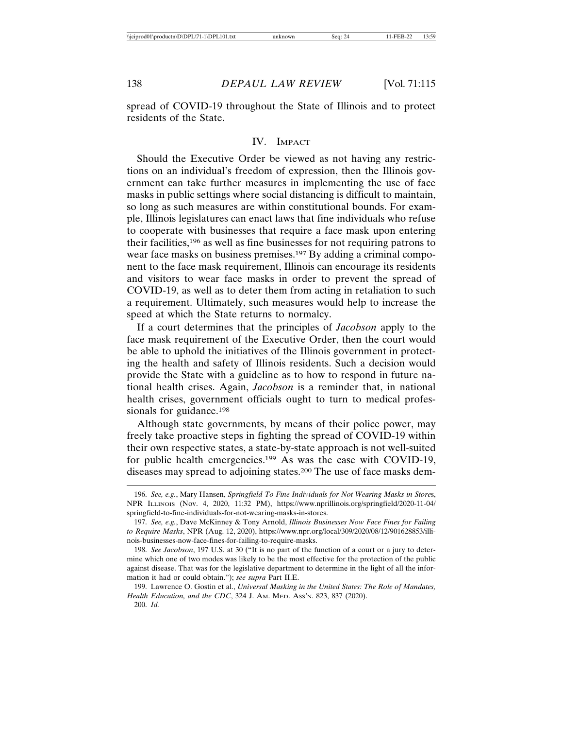spread of COVID-19 throughout the State of Illinois and to protect residents of the State.

#### IV. IMPACT

Should the Executive Order be viewed as not having any restrictions on an individual's freedom of expression, then the Illinois government can take further measures in implementing the use of face masks in public settings where social distancing is difficult to maintain, so long as such measures are within constitutional bounds. For example, Illinois legislatures can enact laws that fine individuals who refuse to cooperate with businesses that require a face mask upon entering their facilities,196 as well as fine businesses for not requiring patrons to wear face masks on business premises.197 By adding a criminal component to the face mask requirement, Illinois can encourage its residents and visitors to wear face masks in order to prevent the spread of COVID-19, as well as to deter them from acting in retaliation to such a requirement. Ultimately, such measures would help to increase the speed at which the State returns to normalcy.

If a court determines that the principles of *Jacobson* apply to the face mask requirement of the Executive Order, then the court would be able to uphold the initiatives of the Illinois government in protecting the health and safety of Illinois residents. Such a decision would provide the State with a guideline as to how to respond in future national health crises. Again, *Jacobson* is a reminder that, in national health crises, government officials ought to turn to medical professionals for guidance.<sup>198</sup>

Although state governments, by means of their police power, may freely take proactive steps in fighting the spread of COVID-19 within their own respective states, a state-by-state approach is not well-suited for public health emergencies.199 As was the case with COVID-19, diseases may spread to adjoining states.200 The use of face masks dem-

<sup>196.</sup> *See, e.g.*, Mary Hansen, *Springfield To Fine Individuals for Not Wearing Masks in Store*s, NPR ILLINOIS (Nov. 4, 2020, 11:32 PM), https://www.nprillinois.org/springfield/2020-11-04/ springfield-to-fine-individuals-for-not-wearing-masks-in-stores.

<sup>197.</sup> *See, e.g.*, Dave McKinney & Tony Arnold, *Illinois Businesses Now Face Fines for Failing to Require Masks*, NPR (Aug. 12, 2020), https://www.npr.org/local/309/2020/08/12/901628853/illinois-businesses-now-face-fines-for-failing-to-require-masks.

<sup>198.</sup> *See Jacobson*, 197 U.S. at 30 ("It is no part of the function of a court or a jury to determine which one of two modes was likely to be the most effective for the protection of the public against disease. That was for the legislative department to determine in the light of all the information it had or could obtain."); *see supra* Part II.E.

<sup>199.</sup> Lawrence O. Gostin et al., *Universal Masking in the United States: The Role of Mandates, Health Education, and the CDC*, 324 J. AM. MED. ASS'N. 823, 837 (2020). 200. *Id.*